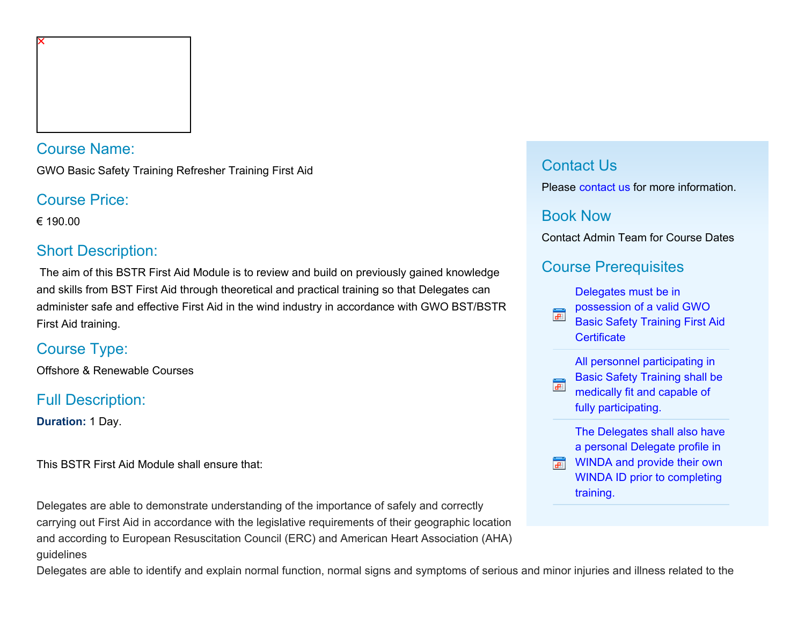

Course Name:

GWO Basic Safety Training Refresher Training First Aid

Course Price:

€ 190.00

### Short Description:

 The aim of this BSTR First Aid Module is to review and build on previously gained knowledge and skills from BST First Aid through theoretical and practical training so that Delegates can administer safe and effective First Aid in the wind industry in accordance with GWO BST/BSTR First Aid training.

# Course Type:

Offshore & Renewable Courses

# Full Description:

**Duration:** 1 Day.

This BSTR First Aid Module shall ensure that:

Delegates are able to demonstrate understanding of the importance of safely and correctly carrying out First Aid in accordance with the legislative requirements of their geographic location and according to European Resuscitation Council (ERC) and American Heart Association (AHA) guidelines

#### Contact Us

Please [contact us](https://www.nmci.ie/index.cfm/page/contactdetails/cid/48700344) for more information.

### Book Now

Contact Admin Team for Course Dates

## Course Prerequisites

[Delegates must be in](javascript:CommercialCourse.Prerequisites.PrerequisiteInfo( 48700344,1 ))

- [possession of a valid GWO](javascript:CommercialCourse.Prerequisites.PrerequisiteInfo( 48700344,1 )) 冨
- [Basic Safety Training First Aid](javascript:CommercialCourse.Prerequisites.PrerequisiteInfo( 48700344,1 )) **Certificate**

[All personnel participating in](javascript:CommercialCourse.Prerequisites.PrerequisiteInfo( 48700344,2 )) [Basic Safety Training shall be](javascript:CommercialCourse.Prerequisites.PrerequisiteInfo( 48700344,2 ))  $\mathbf{d}$ [medically fit and capable of](javascript:CommercialCourse.Prerequisites.PrerequisiteInfo( 48700344,2 )) [fully participating.](javascript:CommercialCourse.Prerequisites.PrerequisiteInfo( 48700344,2 ))

> [The Delegates shall also have](javascript:CommercialCourse.Prerequisites.PrerequisiteInfo( 48700344,3 )) [a personal Delegate profile in](javascript:CommercialCourse.Prerequisites.PrerequisiteInfo( 48700344,3 ))

**MINDA and provide their own** [WINDA ID prior to completing](javascript:CommercialCourse.Prerequisites.PrerequisiteInfo( 48700344,3 )) [training.](javascript:CommercialCourse.Prerequisites.PrerequisiteInfo( 48700344,3 ))

2. Delegates are able to identify and explain normal function, normal signs and symptoms of serious and minor injuries and illness related to the